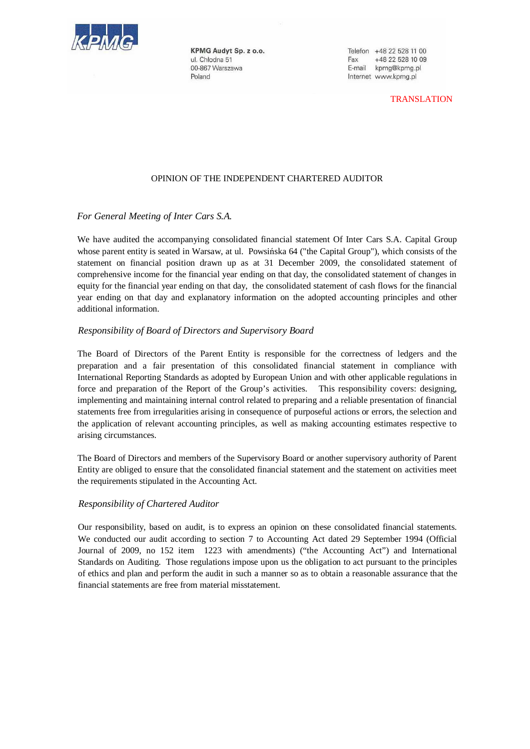

KPMG Audyt Sp. z o.o. ul. Chłodna 51 00-867 Warszawa Poland

Telefon +48 22 528 11 00 Fax +48 22 528 10 09 E-mail kpmg@kpmg.pl Internet www.kpmg.pl

TRANSLATION

# OPINION OF THE INDEPENDENT CHARTERED AUDITOR

# *For General Meeting of Inter Cars S.A.*

We have audited the accompanying consolidated financial statement Of Inter Cars S.A. Capital Group whose parent entity is seated in Warsaw, at ul. Powsińska 64 ("the Capital Group"), which consists of the statement on financial position drawn up as at 31 December 2009, the consolidated statement of comprehensive income for the financial year ending on that day, the consolidated statement of changes in equity for the financial year ending on that day, the consolidated statement of cash flows for the financial year ending on that day and explanatory information on the adopted accounting principles and other additional information.

### *Responsibility of Board of Directors and Supervisory Board*

The Board of Directors of the Parent Entity is responsible for the correctness of ledgers and the preparation and a fair presentation of this consolidated financial statement in compliance with International Reporting Standards as adopted by European Union and with other applicable regulations in force and preparation of the Report of the Group's activities. This responsibility covers: designing, implementing and maintaining internal control related to preparing and a reliable presentation of financial statements free from irregularities arising in consequence of purposeful actions or errors, the selection and the application of relevant accounting principles, as well as making accounting estimates respective to arising circumstances.

The Board of Directors and members of the Supervisory Board or another supervisory authority of Parent Entity are obliged to ensure that the consolidated financial statement and the statement on activities meet the requirements stipulated in the Accounting Act.

### *Responsibility of Chartered Auditor*

Our responsibility, based on audit, is to express an opinion on these consolidated financial statements. We conducted our audit according to section 7 to Accounting Act dated 29 September 1994 (Official Journal of 2009, no 152 item 1223 with amendments) ("the Accounting Act") and International Standards on Auditing. Those regulations impose upon us the obligation to act pursuant to the principles of ethics and plan and perform the audit in such a manner so as to obtain a reasonable assurance that the financial statements are free from material misstatement.